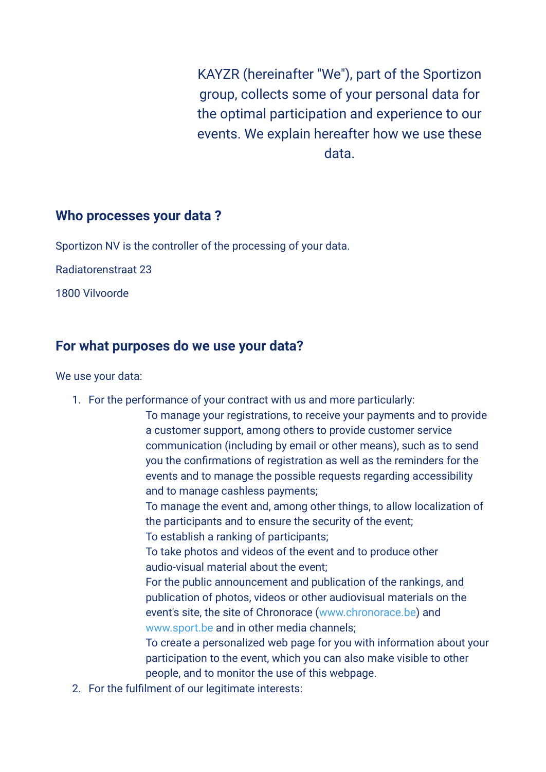KAYZR (hereinafter "We"), part of the Sportizon group, collects some of your personal data for the optimal participation and experience to our events. We explain hereafter how we use these data.

#### **Who processes your data ?**

Sportizon NV is the controller of the processing of your data.

Radiatorenstraat 23

1800 Vilvoorde

#### **For what purposes do we use your data?**

We use your data:

- 1. For the performance of your contract with us and more particularly:
	- To manage your registrations, to receive your payments and to provide a customer support, among others to provide customer service communication (including by email or other means), such as to send you the confirmations of registration as well as the reminders for the events and to manage the possible requests regarding accessibility and to manage cashless payments;
	- To manage the event and, among other things, to allow localization of the participants and to ensure the security of the event;
	- To establish a ranking of participants;
	- To take photos and videos of the event and to produce other audio-visual material about the event;
	- For the public announcement and publication of the rankings, and publication of photos, videos or other audiovisual materials on the event's site, the site of Chronorace [\(www.chronorace.be](https://www.chronorace.be/)) and [www.sport.be](http://www.sport.be/) and in other media channels;
	- To create a personalized web page for you with information about your participation to the event, which you can also make visible to other people, and to monitor the use of this webpage.
- 2. For the fulfilment of our legitimate interests: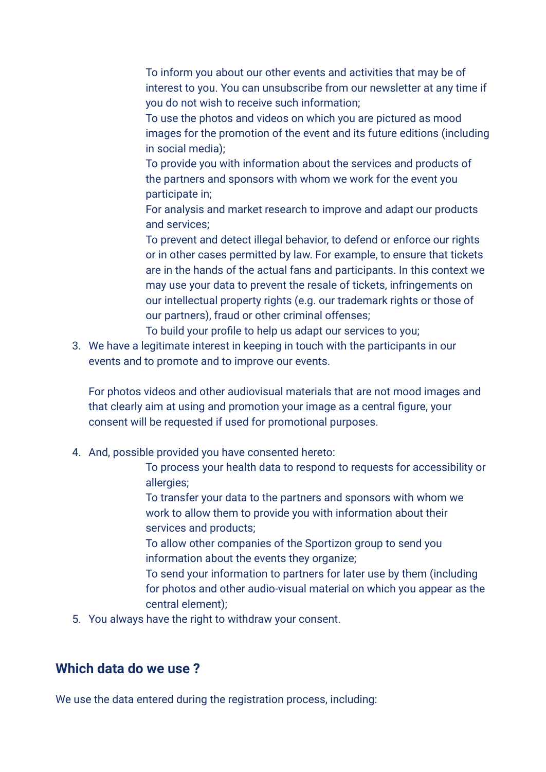- To inform you about our other events and activities that may be of interest to you. You can unsubscribe from our newsletter at any time if you do not wish to receive such information;
- To use the photos and videos on which you are pictured as mood images for the promotion of the event and its future editions (including in social media);
- To provide you with information about the services and products of the partners and sponsors with whom we work for the event you participate in;
- For analysis and market research to improve and adapt our products and services;
- To prevent and detect illegal behavior, to defend or enforce our rights or in other cases permitted by law. For example, to ensure that tickets are in the hands of the actual fans and participants. In this context we may use your data to prevent the resale of tickets, infringements on our intellectual property rights (e.g. our trademark rights or those of our partners), fraud or other criminal offenses;
- To build your profile to help us adapt our services to you;
- 3. We have a legitimate interest in keeping in touch with the participants in our events and to promote and to improve our events.

For photos videos and other audiovisual materials that are not mood images and that clearly aim at using and promotion your image as a central figure, your consent will be requested if used for promotional purposes.

- 4. And, possible provided you have consented hereto:
	- To process your health data to respond to requests for accessibility or allergies;
	- To transfer your data to the partners and sponsors with whom we work to allow them to provide you with information about their services and products;
	- To allow other companies of the Sportizon group to send you information about the events they organize;
	- To send your information to partners for later use by them (including for photos and other audio-visual material on which you appear as the central element);
- 5. You always have the right to withdraw your consent.

# **Which data do we use ?**

We use the data entered during the registration process, including: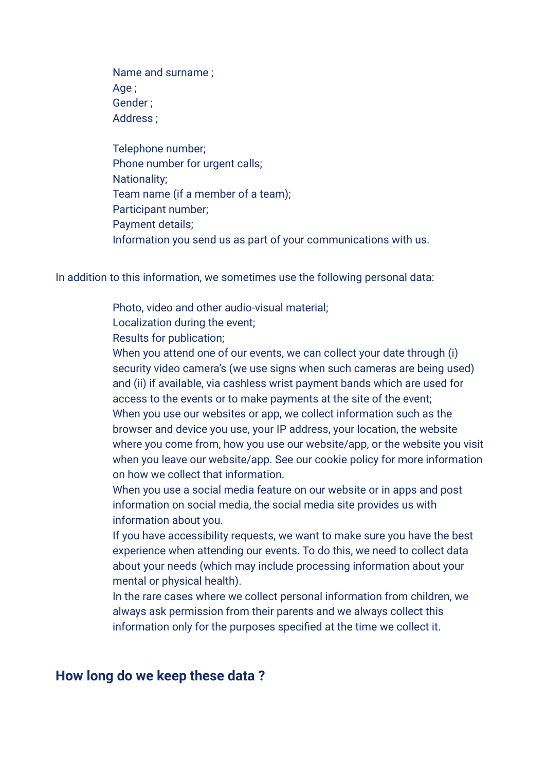Name and surname ; Age: Gender ; Address ;

Telephone number; Phone number for urgent calls; Nationality; Team name (if a member of a team); Participant number; Payment details; Information you send us as part of your communications with us.

In addition to this information, we sometimes use the following personal data:

Photo, video and other audio-visual material;

Localization during the event;

Results for publication;

When you attend one of our events, we can collect your date through (i) security video camera's (we use signs when such cameras are being used) and (ii) if available, via cashless wrist payment bands which are used for access to the events or to make payments at the site of the event; When you use our websites or app, we collect information such as the browser and device you use, your IP address, your location, the website where you come from, how you use our website/app, or the website you visit when you leave our website/app. See our cookie policy for more information on how we collect that information.

When you use a social media feature on our website or in apps and post information on social media, the social media site provides us with information about you.

If you have accessibility requests, we want to make sure you have the best experience when attending our events. To do this, we need to collect data about your needs (which may include processing information about your mental or physical health).

In the rare cases where we collect personal information from children, we always ask permission from their parents and we always collect this information only for the purposes specified at the time we collect it.

### **How long do we keep these data ?**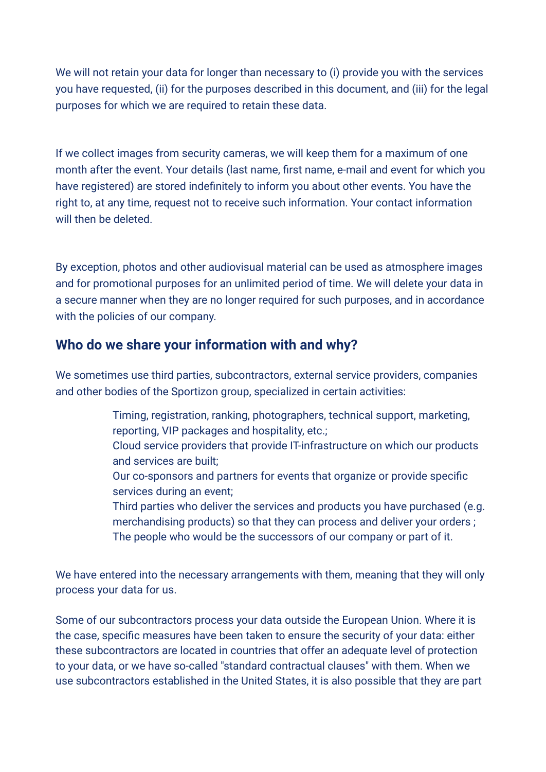We will not retain your data for longer than necessary to (i) provide you with the services you have requested, (ii) for the purposes described in this document, and (iii) for the legal purposes for which we are required to retain these data.

If we collect images from security cameras, we will keep them for a maximum of one month after the event. Your details (last name, first name, e-mail and event for which you have registered) are stored indefinitely to inform you about other events. You have the right to, at any time, request not to receive such information. Your contact information will then be deleted.

By exception, photos and other audiovisual material can be used as atmosphere images and for promotional purposes for an unlimited period of time. We will delete your data in a secure manner when they are no longer required for such purposes, and in accordance with the policies of our company.

## **Who do we share your information with and why?**

We sometimes use third parties, subcontractors, external service providers, companies and other bodies of the Sportizon group, specialized in certain activities:

- Timing, registration, ranking, photographers, technical support, marketing, reporting, VIP packages and hospitality, etc.;
- Cloud service providers that provide IT-infrastructure on which our products and services are built;
- Our co-sponsors and partners for events that organize or provide specific services during an event;
- Third parties who deliver the services and products you have purchased (e.g. merchandising products) so that they can process and deliver your orders ; The people who would be the successors of our company or part of it.

We have entered into the necessary arrangements with them, meaning that they will only process your data for us.

Some of our subcontractors process your data outside the European Union. Where it is the case, specific measures have been taken to ensure the security of your data: either these subcontractors are located in countries that offer an adequate level of protection to your data, or we have so-called "standard contractual clauses" with them. When we use subcontractors established in the United States, it is also possible that they are part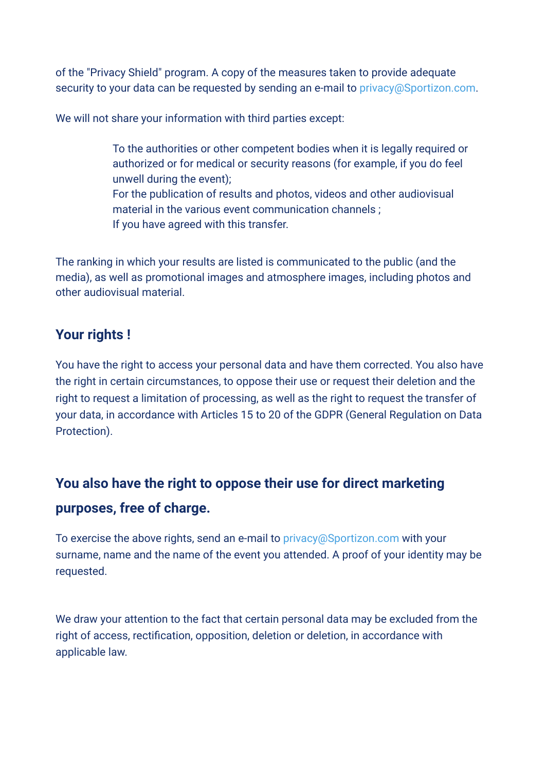of the "Privacy Shield" program. A copy of the measures taken to provide adequate security to your data can be requested by sending an e-mail to privacy@Sportizon.com.

We will not share your information with third parties except:

To the authorities or other competent bodies when it is legally required or authorized or for medical or security reasons (for example, if you do feel unwell during the event); For the publication of results and photos, videos and other audiovisual

material in the various event communication channels ;

If you have agreed with this transfer.

The ranking in which your results are listed is communicated to the public (and the media), as well as promotional images and atmosphere images, including photos and other audiovisual material.

# **Your rights !**

You have the right to access your personal data and have them corrected. You also have the right in certain circumstances, to oppose their use or request their deletion and the right to request a limitation of processing, as well as the right to request the transfer of your data, in accordance with Articles 15 to 20 of the GDPR (General Regulation on Data Protection).

# **You also have the right to oppose their use for direct marketing purposes, free of charge.**

To exercise the above rights, send an e-mail to privacy@Sportizon.com with your surname, name and the name of the event you attended. A proof of your identity may be requested.

We draw your attention to the fact that certain personal data may be excluded from the right of access, rectification, opposition, deletion or deletion, in accordance with applicable law.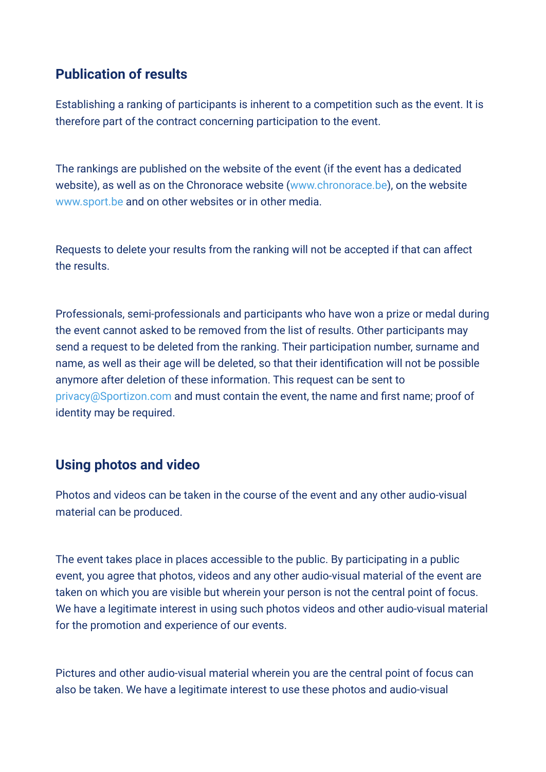# **Publication of results**

Establishing a ranking of participants is inherent to a competition such as the event. It is therefore part of the contract concerning participation to the event.

The rankings are published on the website of the event (if the event has a dedicated website), as well as on the Chronorace website ([www.chronorace.be\)](https://www.chronorace.be/), on the website [www.sport.be](http://www.sport.be/) and on other websites or in other media.

Requests to delete your results from the ranking will not be accepted if that can affect the results.

Professionals, semi-professionals and participants who have won a prize or medal during the event cannot asked to be removed from the list of results. Other participants may send a request to be deleted from the ranking. Their participation number, surname and name, as well as their age will be deleted, so that their identification will not be possible anymore after deletion of these information. This request can be sent to privacy@Sportizon.com and must contain the event, the name and first name; proof of identity may be required.

## **Using photos and video**

Photos and videos can be taken in the course of the event and any other audio-visual material can be produced.

The event takes place in places accessible to the public. By participating in a public event, you agree that photos, videos and any other audio-visual material of the event are taken on which you are visible but wherein your person is not the central point of focus. We have a legitimate interest in using such photos videos and other audio-visual material for the promotion and experience of our events.

Pictures and other audio-visual material wherein you are the central point of focus can also be taken. We have a legitimate interest to use these photos and audio-visual